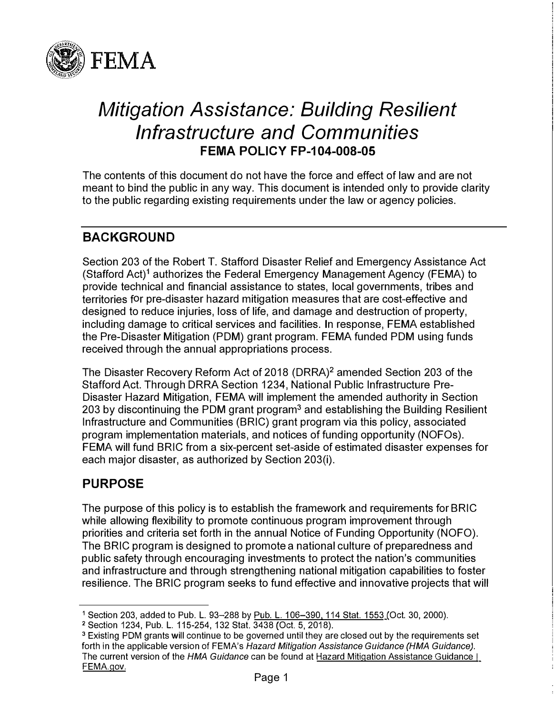

# *Mitigation Assistance: Building Resilient Infrastructure and Communities*  **FEMA POLICY FP-104-008-05**

The contents of this document do not have the force and effect of law and are not meant to bind the public in any way. This document is intended only to provide clarity to the public regarding existing requirements under the law or agency policies.

# **BACKGROUND**

Section 203 of the Robert T. Stafford Disaster Relief and Emergency Assistance Act (Stafford Act)**1** authorizes the Federal Emergency Management Agency (FEMA) to provide technical and financial assistance to states, local governments, tribes and territories for pre-disaster hazard mitigation measures that are cost-effective and designed to reduce injuries, loss of life, and damage and destruction of property, including damage to critical services and facilities. In response, FEMA established the Pre-Disaster Mitigation (PDM) grant program. FEMA funded PDM using funds received through the annual appropriations process.

The Disaster Recovery Reform Act of 2018 (DRRA)**2** amended Section 203 of the Stafford Act. Through DRRA Section 1234, National Public Infrastructure Pre-Disaster Hazard Mitigation, FEMA will implement the amended authority in Section 203 by discontinuing the PDM grant program**<sup>3</sup>**and establishing the Building Resilient Infrastructure and Communities (BRIC) grant program via this policy, associated program implementation materials, and notices of funding opportunity (NOFOs). FEMA will fund BRIC from a six-percent set-aside of estimated disaster expenses for each major disaster, as authorized by Section 203(i).

## **PURPOSE**

The purpose of this policy is to establish the framework and requirements for BRIC while allowing flexibility to promote continuous program improvement through priorities and criteria set forth in the annual Notice of Funding Opportunity (NOFO). The BRIC program is designed to promote a national culture of preparedness and public safety through encouraging investments to protect the nation's communities and infrastructure and through strengthening national mitigation capabilities to foster resilience. The BRIC program seeks to fund effective and innovative projects that will

<sup>1</sup> Section 203, added to Pub. **L.** 93-288 by Pub. **L.** 106-390, 114 Stat. 1553 (Oct. 30, 2000).

<sup>2</sup>Section 1234, Pub. **L.** 115-254, 132 Stat. 3438 (Oct. 5, 2018).

<sup>&</sup>lt;sup>3</sup> Existing PDM grants will continue to be governed until they are closed out by the requirements set forth in the applicable version of FEMA's *Hazard Mitigation Assistance Guidance (HMA Guidance).*  The current version of the *HMA Guidance* can be found at [Hazard Mitigation Assistance Guidance I](https://www.fema.gov/grants/mitigation/hazard-mitigation-assistance-guidance)  [FEMA.gov.](https://www.fema.gov/grants/mitigation/hazard-mitigation-assistance-guidance)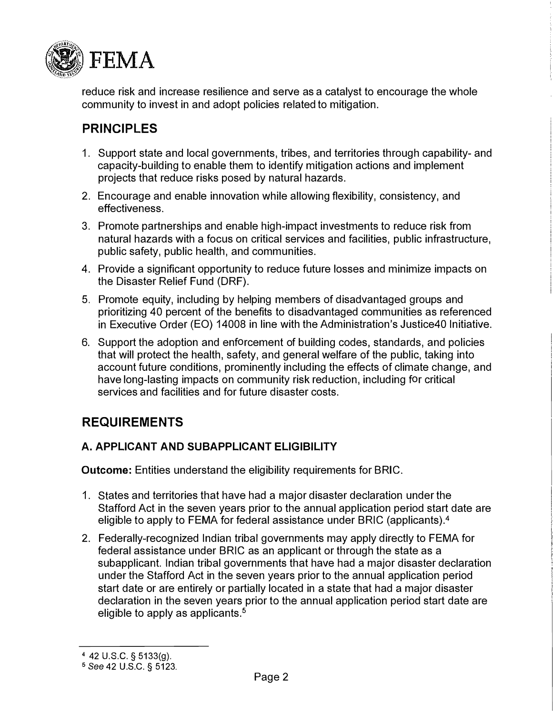

reduce risk and increase resilience and serve as a catalyst to encourage the whole community to invest in and adopt policies related to mitigation.

# **PRINCIPLES**

- 1. Support state and local governments, tribes, and territories through capability- and capacity-building to enable them to identify mitigation actions and implement projects that reduce risks posed by natural hazards.
- 2. Encourage and enable innovation while allowing flexibility, consistency, and effectiveness.
- 3. Promote partnerships and enable high-impact investments to reduce risk from natural hazards with a focus on critical services and facilities, public infrastructure, public safety, public health, and communities.
- 4. Provide a significant opportunity to reduce future losses and minimize impacts on the Disaster Relief Fund (ORF).
- 5. Promote equity, including by helping members of disadvantaged groups and prioritizing 40 percent of the benefits to disadvantaged communities as referenced in Executive Order (EO) 14008 in line with the Administration's Justice40 Initiative.
- 6. Support the adoption and enforcement of building codes, standards, and policies that will protect the health, safety, and general welfare of the public, taking into account future conditions, prominently including the effects of climate change, and have long-lasting impacts on community risk reduction, including for critical services and facilities and for future disaster costs.

# **REQUIREMENTS**

### **A. APPLICANT AND SUBAPPLICANT ELIGIBILITY**

**Outcome:** Entities understand the eligibility requirements for BRIC.

- 1. States and territories that have had a major disaster declaration under the Stafford Act in the seven years prior to the annual application period start date are eligible to apply to FEMA for federal assistance under BRIC (applicants).<sup>4</sup>
- 2. Federally-recognized Indian tribal governments may apply directly to FEMA for federal assistance under BRIC as an applicant or through the state as a subapplicant. Indian tribal governments that have had a major disaster declaration under the Stafford Act in the seven years prior to the annual application period start date or are entirely or partially located in a state that had a major disaster declaration in the seven years prior to the annual application period start date are eligible to apply as applicants.**<sup>5</sup>**

<sup>4 42</sup> u.s.c. § 5133(g).

<sup>5</sup>*See* 42 U.S.C. § 5123.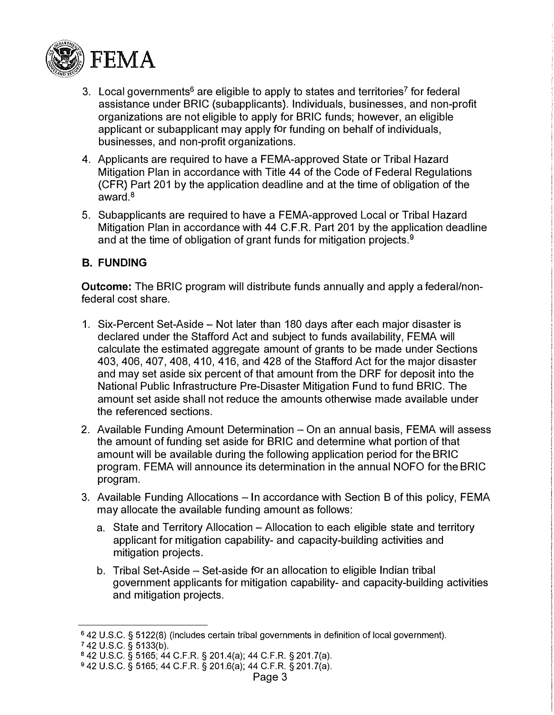

- 3. Local governments**<sup>6</sup>**are eligible to apply to states and territories**7** for federal assistance under BRIC (subapplicants). Individuals, businesses, and non-profit organizations are not eligible to apply for BRIC funds; however, an eligible applicant or subapplicant may apply for funding on behalf of individuals, businesses, and non-profit organizations.
- 4. Applicants are required to have a FEMA-approved State or Tribal Hazard Mitigation Plan in accordance with Title 44 of the Code of Federal Regulations (CFR) Part 201 by the application deadline and at the time of obligation of the award.**<sup>8</sup>**
- 5. Subapplicants are required to have a FEMA-approved Local or Tribal Hazard Mitigation Plan in accordance with 44 C.F.R. Part 201 by the application deadline and at the time of obligation of grant funds for mitigation projects.**<sup>9</sup>**

#### **B. FUNDING**

**Outcome:** The BRIC program will distribute funds annually and apply a federal/nonfederal cost share.

- 1. Six-Percent Set-Aside Not later than 180 days after each major disaster is declared under the Stafford Act and subject to funds availability, FEMA will calculate the estimated aggregate amount of grants to be made under Sections 403, 406, 407, 408, 410, 416, and 428 of the Stafford Act for the major disaster and may set aside six percent of that amount from the DRF for deposit into the National Public Infrastructure Pre-Disaster Mitigation Fund to fund BRIC. The amount set aside shall not reduce the amounts otherwise made available under the referenced sections.
- 2. Available Funding Amount Determination On an annual basis, FEMA will assess the amount of funding set aside for BRIC and determine what portion of that amount will be available during the following application period for the BRIC program. FEMA will announce its determination in the annual NOFO for the BRIC program.
- 3. Available Funding Allocations In accordance with Section B of this policy, FEMA may allocate the available funding amount as follows:
	- a. State and Territory Allocation Allocation to each eligible state and territory applicant for mitigation capability- and capacity-building activities and mitigation projects.
	- b. Tribal Set-Aside Set-aside for an allocation to eligible Indian tribal government applicants for mitigation capability- and capacity-building activities and mitigation projects.

<sup>6</sup>42 U.S.C. § 5122(8) (includes certain tribal governments in definition of local government).

<sup>7</sup>42 U.S.C. § 5133(b).

<sup>8</sup>42 U.S.C. § 5165; 44 C.F.R. § 201.4(a); 44 C.F.R. § 201.?(a).

<sup>9</sup>42 U.S.C. § 5165; 44 C.F.R. § 201.6(a); 44 C.F.R. § 201.?(a).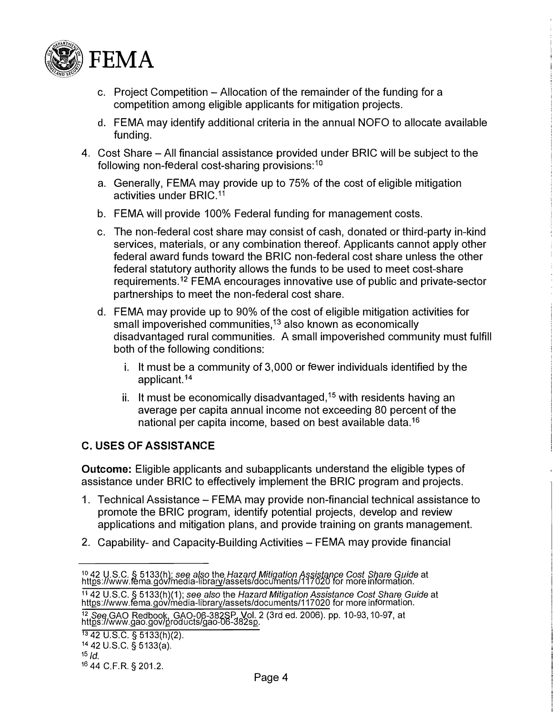

- c. Project Competition Allocation of the remainder of the funding for a competition among eligible applicants for mitigation projects.
- d. FEMA may identify additional criteria in the annual NOFO to allocate available funding.
- 4. Cost Share All financial assistance provided under BRIC will be subject to the following non-federal cost-sharing provisions: **<sup>10</sup>**
	- a. Generally, FEMA may provide up to 75% of the cost of eligible mitigation activities under BRIC.<sup>11</sup>
	- b. FEMA will provide 100% Federal funding for management costs.
	- c. The non-federal cost share may consist of cash, donated or third-party in-kind services, materials, or any combination thereof. Applicants cannot apply other federal award funds toward the BRIC non-federal cost share unless the other federal statutory authority allows the funds to be used to meet cost-share requirements.**<sup>12</sup>**FEMA encourages innovative use of public and private-sector partnerships to meet the non-federal cost share.
	- d. FEMA may provide up to 90% of the cost of eligible mitigation activities for small impoverished communities, **<sup>13</sup>**also known as economically disadvantaged rural communities. A small impoverished community must fulfill both of the following conditions:
		- i. It must be a community of 3,000 or fewer individuals identified by the applicant.**<sup>14</sup>**
		- ii. It must be economically disadvantaged, **<sup>15</sup>**with residents having an average per capita annual income not exceeding 80 percent of the national per capita income, based on best available data.**<sup>16</sup>**

#### **C. USES OF ASSISTANCE**

**Outcome:** Eligible applicants and subapplicants understand the eligible types of assistance under BRIC to effectively implement the BRIC program and projects.

- 1. Technical Assistance FEMA may provide non-financial technical assistance to promote the BRIC program, identify potential projects, develop and review applications and mitigation plans, and provide training on grants management.
- 2. Capability- and Capacity-Building Activities FEMA may provide financial

<sup>&</sup>lt;sup>10</sup> 42 U.S.C. § 5133(h); *see also* the *Hazard Mitigation Assistance Cost Share Guide* at<br>htt<u>p</u>s://www.fema.gov/media-libra<u>ry</u>/assets/documents/117020 for more information.

<sup>11</sup> 42 U.S.C. § 5133(h)(1); *see also* the *Hazard Mitigation Assistance Cost Share Guide* at <https://www.fema.gov/media-library/assets/documents/117020> for more information.

<sup>&</sup>lt;sup>12</sup> *See* GAO Redbook, GAO-06-382SP, Vol. 2 (3rd ed. 2006). pp. 10-93, 10-97, at<br>htt<u>p</u>s://www.gao.gov/<u>p</u>roducts/gao-06-382s<u>p</u>.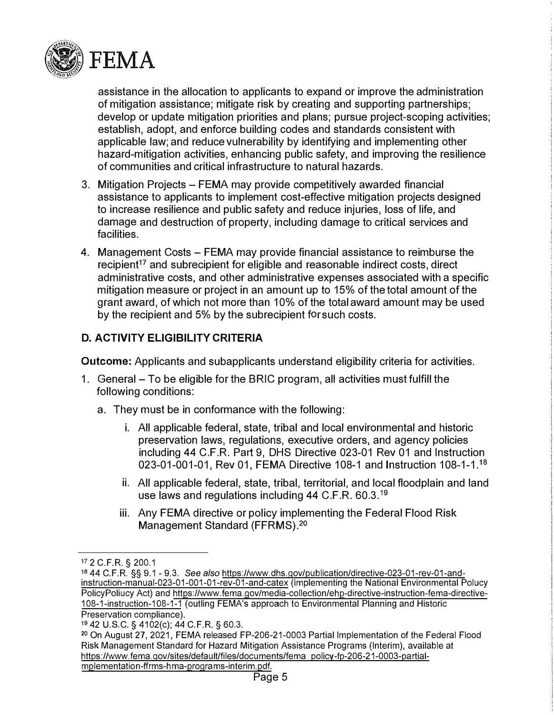

assistance in the allocation to applicants to expand or improve the administration of mitigation assistance; mitigate risk by creating and supporting partnerships; develop or update mitigation priorities and plans; pursue project-scoping activities; establish, adopt, and enforce building codes and standards consistent with applicable law; and reduce vulnerability by identifying and implementing other hazard-mitigation activities, enhancing public safety, and improving the resilience of communities and critical infrastructure to natural hazards.

- 3. Mitigation Projects FEMA may provide competitively awarded financial assistance to applicants to implement cost-effective mitigation projects designed to increase resilience and public safety and reduce injuries, loss of life, and damage and destruction of property, including damage to critical services and facilities.
- 4. Management Costs FEMA may provide financial assistance to reimburse the recipient**<sup>17</sup>**and subrecipient for eligible and reasonable indirect costs, direct administrative costs, and other administrative expenses associated with a specific mitigation measure or project in an amount up to 15% of the total amount of the grant award, of which not more than 10% of the total award amount may be used by the recipient and 5% by the subrecipient for such costs.

### **D. ACTIVITY ELIGIBILITY CRITERIA**

**Outcome:** Applicants and subapplicants understand eligibility criteria for activities.

- 1. General To be eligible for the BRIC program, all activities must fulfill the following conditions:
	- a. They must be in conformance with the following:
		- i. All applicable federal, state, tribal and local environmental and historic preservation laws, regulations, executive orders, and agency policies including 44 C.F.R. Part 9, DHS Directive 023-01 Rev 01 and Instruction 023-01-001-01, Rev 01, FEMA Directive 108-1 and Instruction 108-1-1.<sup>18</sup>
		- ii. All applicable federal, state, tribal, territorial, and local floodplain and land use laws and regulations including 44 C.F.R. 60.3.**<sup>19</sup>**
		- iii. Any FEMA directive or policy implementing the Federal Flood Risk Management Standard (FFRMS).20

<sup>1</sup><sup>7</sup> 2 C.F.R. **§** 200.1

<sup>18 44</sup> C.F.R. **§§** 9.1 - 9.3. *See also* [https://www.dhs.gov/publication/directive-023-01-rev-01-and](https://www.dhs.gov/publication/directive-023-01-rev-01-and-instruction-manual-023-01-001-01-rev-01-and-catex)[instruction-manual-023-01-001-01-rev-01-and-catex \(](https://www.dhs.gov/publication/directive-023-01-rev-01-and-instruction-manual-023-01-001-01-rev-01-and-catex)implementing the National Environmental Polucy PolicyPoliucy Act) and [https://www.fema.gov/media-collection/ehp-directive-instruction-fema-directive-](https://www.fema.gov/media-collection/ehp-directive-instruction-fema-directive-108-1-instruction-108-1-1)[108-1-instruction-108-1-1](https://www.fema.gov/media-collection/ehp-directive-instruction-fema-directive-108-1-instruction-108-1-1) (outling FEMA's approach to Environmental Planning and Historic Preservation compliance).

<sup>19 42</sup> U.S.C. **§** 4102(c); 44 C.F.R. **§** 60.3.

<sup>20</sup>On August 27, 2021, FEMA released FP-206-21-0003 Partial Implementation of the Federal Flood Risk Management Standard for Hazard Mitigation Assistance Programs (Interim), available at https://www.fema.gov/sites/default/files/documents/fema policy-fp-206-21-0003-partialmplementation-ffrms-hma-programs-interim.pdf.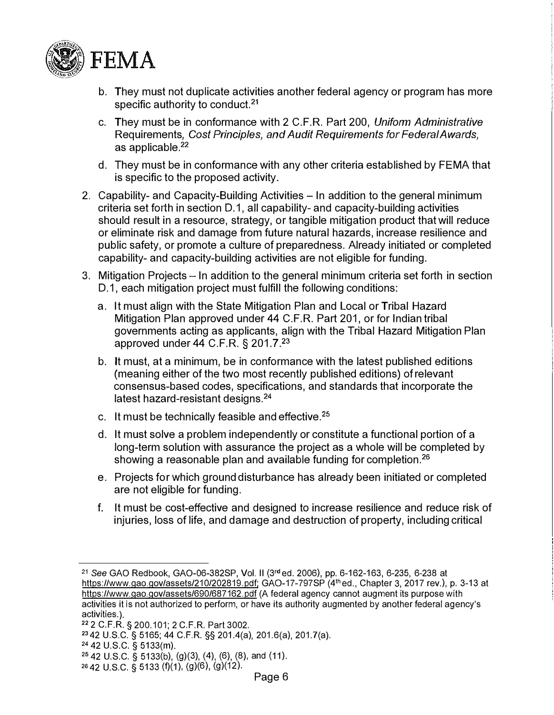

- **b. They must not duplicate activities another federal agency or program has more specific authority to conduct.**21
- **c. They must be in conformance with 2 C.F.R. Part 200,** *Uniform Administrative* **Requirements,** *Cost Principles, and Audit Requirements for Federal Awards,* **as applicable.**22
- **d. They must be in conformance with any other criteria established by FEMA that is specific to the proposed activity.**
- **2. Capability- and Capacity-Building Activities - In addition to the general minimum criteria set forth in section D.1, all capability- and capacity-building activities should result in a resource, strategy, or tangible mitigation product that will reduce or eliminate risk and damage from future natural hazards, increase resilience and public safety, or promote a culture of preparedness. Already initiated or completed capability- and capacity-building activities are not eligible for funding.**
- **3. Mitigation Projects - In addition to the general minimum criteria set forth in section D.1, each mitigation project must fulfill the following conditions:**
	- **a. It must align with the State Mitigation Plan and Local or Tribal Hazard Mitigation Plan approved under 44 C.F.R. Part 201, or for Indian tribal governments acting as applicants, align with the Tribal Hazard Mitigation Plan approved under 44 C.F.R. § 201.7.**23
	- **b. It must, at a minimum, be in conformance with the latest published editions (meaning either of the two most recently published editions) of relevant consensus-based codes, specifications, and standards that incorporate the latest hazard-resistant designs.** 24
	- **c. It must be technically feasible and effective.<sup>25</sup>**
	- **d. It must solve a problem independently or constitute a functional portion of a long-term solution with assurance the project as a whole will be completed by showing a reasonable plan and available funding for completion.**26
	- **e. Projects for which ground disturbance has already been initiated or completed are not eligible for funding.**
	- **f. It must be cost-effective and designed to increase resilience and reduce risk of injuries, loss of life, and damage and destruction of property, including critical**

<sup>21</sup>*See* GAO Redbook, GAO-06-382SP, Vol. II (3rd ed. 2006), pp. 6-162-163, 6-235, 6-238 at [https://www.gao.gov/assets/210/202819.pdf;](https://www.gao.gov/assets/210/202819.pdf) GAO-17-797SP (4th ed., Chapter 3, 2017 rev.), p. 3-13 at <https://www.gao.gov/assets/690/687162.pdf>(A federal agency cannot augment its purpose with activities it is not authorized to perform, or have its authority augmented by another federal agency's

<sup>22 2</sup> C.F.R. § 200.101; 2 C.F.R. Part 3002.

<sup>23</sup> 42 U.S.C. § 5165; 44 C.F.R. §§ 201.4(a), 201.6(a), 201.?(a). <sup>24</sup>42 U.S.C. § 5133(m).

<sup>25</sup>42 U.S.C. § 5133(b), (g)(3), (4), (6), (8), and (11).

 $2642$  U.S.C. § 5133 (f)(1), (g)(6), (g)(12).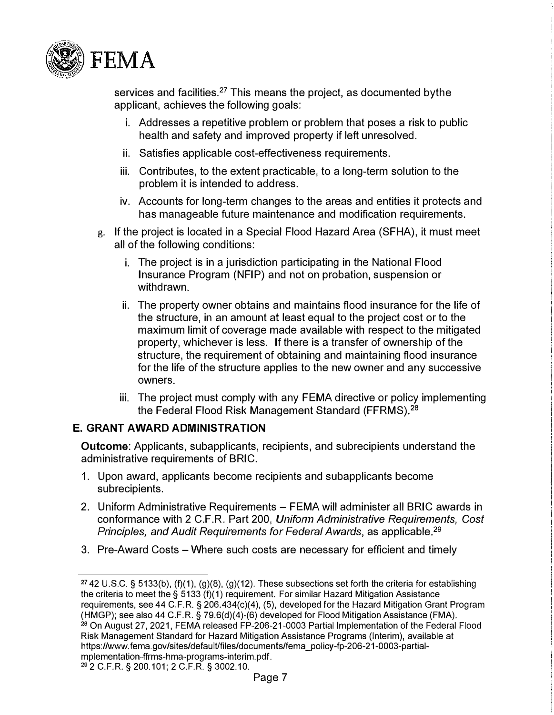

services and facilities.<sup>27</sup> This means the project, as documented by the applicant, achieves the following goals:

- i. Addresses a repetitive problem or problem that poses a risk to public health and safety and improved property if left unresolved.
- ii. Satisfies applicable cost-effectiveness requirements.
- iii. Contributes, to the extent practicable, to a long-term solution to the problem it is intended to address.
- iv. Accounts for long-term changes to the areas and entities it protects and has manageable future maintenance and modification requirements.
- g. If the project is located in a Special Flood Hazard Area (SFHA), it must meet all of the following conditions:
	- i. The project is in a jurisdiction participating in the National Flood Insurance Program (NFIP) and not on probation, suspension or withdrawn.
	- ii. The property owner obtains and maintains flood insurance for the life of the structure, in an amount at least equal to the project cost or to the maximum limit of coverage made available with respect to the mitigated property, whichever is less. If there is a transfer of ownership of the structure, the requirement of obtaining and maintaining flood insurance for the life of the structure applies to the new owner and any successive owners.
	- iii. The project must comply with any FEMA directive or policy implementing the Federal Flood Risk Management Standard (FFRMS).**<sup>28</sup>**

#### **E. GRANT AWARD ADMINISTRATION**

**Outcome:** Applicants, subapplicants, recipients, and subrecipients understand the administrative requirements of BRIC.

- 1. Upon award, applicants become recipients and subapplicants become subrecipients.
- 2. Uniform Administrative Requirements FEMA will administer all BRIC awards in conformance with 2 C.F.R. Part 200, *Uniform Administrative Requirements, Cost Principles, and Audit Requirements for Federal Awards,* as applicable.29
- 3. Pre-Award Costs Where such costs are necessary for efficient and timely

<sup>&</sup>lt;sup>27</sup> 42 U.S.C. § 5133(b), (f)(1), (g)(8), (g)(12). These subsections set forth the criteria for establishing the criteria to meet the § 5133 (f)(1) requirement. For similar Hazard Mitigation Assistance requirements, see 44 C.F.R. § 206.434(c)(4), (5), developed for the Hazard Mitigation Grant Program (HMGP); see also 44 C.F.R. § 79.6(d)(4)-(6) developed for Flood Mitigation Assistance (FMA). <sup>28</sup> On August 27, 2021, FEMA released FP-206-21-0003 Partial Implementation of the Federal Flood Risk Management Standard for Hazard Mitigation Assistance Programs (Interim), available at [https://www.fema.gov/sites/defau1Ufiles/documents/fema\\_policy-fp-206-21-0003-partial](https://www.fema.gov/sites/default/files/documents/fema_policy-fp-206-21-0003-partial-mplementation-ffrms-hma-programs-interim.pdf)mplementation-ffrms-hma-programs-interim.pdf. <sup>29</sup> 2 C.F.R. § 200.101; 2 C.F.R. § 3002.10.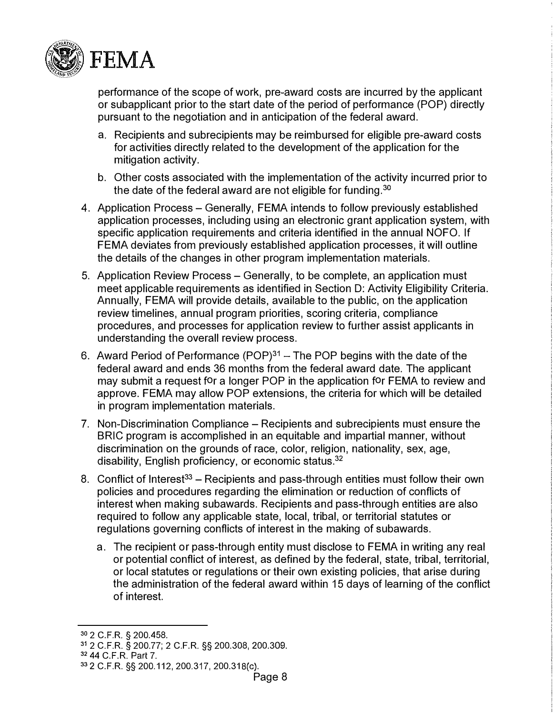

performance of the scope of work, pre-award costs are incurred by the applicant or subapplicant prior to the start date of the period of performance (POP) directly pursuant to the negotiation and in anticipation of the federal award.

- a. Recipients and subrecipients may be reimbursed for eligible pre-award costs for activities directly related to the development of the application for the mitigation activity.
- b. Other costs associated with the implementation of the activity incurred prior to the date of the federal award are not eligible for funding.<sup>30</sup>
- 4. Application Process Generally, FEMA intends to follow previously established application processes, including using an electronic grant application system, with specific application requirements and criteria identified in the annual NOFO. If FEMA deviates from previously established application processes, it will outline the details of the changes in other program implementation materials.
- 5. Application Review Process Generally, to be complete, an application must meet applicable requirements as identified in Section D: Activity Eligibility Criteria. Annually, FEMA will provide details, available to the public, on the application review timelines, annual program priorities, scoring criteria, compliance procedures, and processes for application review to further assist applicants in understanding the overall review process.
- 6. Award Period of Performance (POP) $31 -$ The POP begins with the date of the federal award and ends 36 months from the federal award date. The applicant may submit a request for a longer POP in the application for FEMA to review and approve. FEMA may allow POP extensions, the criteria for which will be detailed in program implementation materials.
- 7. Non-Discrimination Compliance Recipients and subrecipients must ensure the BRIC program is accomplished in an equitable and impartial manner, without discrimination on the grounds of race, color, religion, nationality, sex, age, disability, English proficiency, or economic status.<sup>3</sup><sup>2</sup>
- 8. Conflict of Interest<sup>33</sup> Recipients and pass-through entities must follow their own policies and procedures regarding the elimination or reduction of conflicts of interest when making subawards. Recipients and pass-through entities are also required to follow any applicable state, local, tribal, or territorial statutes or regulations governing conflicts of interest in the making of subawards.
	- a. The recipient or pass-through entity must disclose to FEMA in writing any real or potential conflict of interest, as defined by the federal, state, tribal, territorial, or local statutes or regulations or their own existing policies, that arise during the administration of the federal award within 15 days of learning of the conflict of interest.

<sup>30</sup> **2 C.F.R. § [200.458.](https://www.ecfr.gov/current/title-2/subtitle-A/chapter-II/part-200/subpart-E/subject-group-ECFRed1f39f9b3d4e72/section-200.458)** 

**<sup>31</sup> [2 C.F.R. § 200.77;](https://www.ecfr.gov/current/title-24/subtitle-B/chapter-II/subchapter-A/part-200/subpart-A/subject-group-ECFR5ee754618e06156/section-200.77) [2 C.F.R.](https://www.ecfr.gov/current/title-2/subtitle-A/chapter-II/part-200/subpart-D/section-200.308) §§ 200.308, [200.309.](https://www.ecfr.gov/current/title-2/subtitle-A/chapter-II/part-200/subpart-D/section-200.309)**

**<sup>32</sup>[44 C.F.R. Part 7.](https://www.ecfr.gov/current/title-44/chapter-I/subchapter-A/part-7)** 

<sup>33</sup>**[2 C.F.R.](https://www.ecfr.gov/current/title-2/subtitle-A/chapter-II/part-200/subpart-B/section-200.112) §§ 200.112, [200.317,](https://www.ecfr.gov/current/title-2/subtitle-A/chapter-II/part-200/subpart-D/subject-group-ECFR45ddd4419ad436d/section-200.317) [200.31 S\(c\).](https://www.ecfr.gov/current/title-2/subtitle-A/chapter-II/part-200/subpart-D/subject-group-ECFR45ddd4419ad436d/section-200.318)**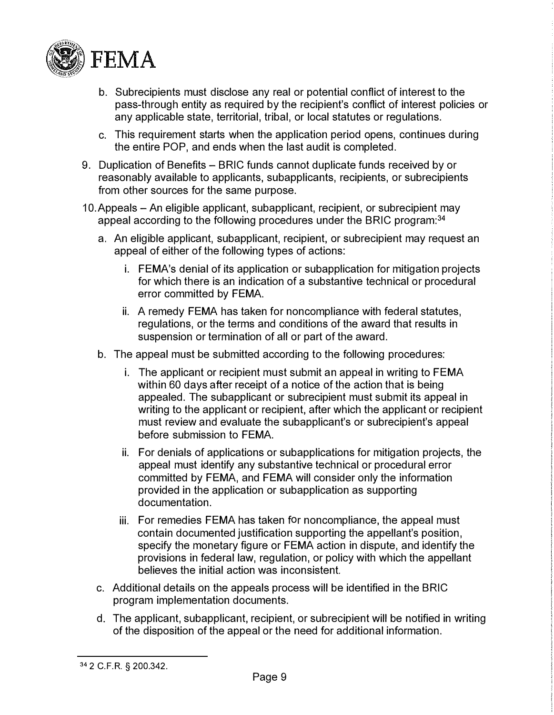

- b. Subrecipients must disclose any real or potential conflict of interest to the pass-through entity as required by the recipient's conflict of interest policies or any applicable state, territorial, tribal, or local statutes or regulations.
- c. This requirement starts when the application period opens, continues during the entire POP, and ends when the last audit is completed.
- 9. Duplication of Benefits BRIC funds cannot duplicate funds received by or reasonably available to applicants, subapplicants, recipients, or subrecipients from other sources for the same purpose.
- 10.Appeals An eligible applicant, subapplicant, recipient, or subrecipient may appeal according to the following procedures under the BRIC program:<sup>34</sup>
	- a. An eligible applicant, subapplicant, recipient, or subrecipient may request an appeal of either of the following types of actions:
		- i. FEMA's denial of its application or subapplication for mitigation projects for which there is an indication of a substantive technical or procedural error committed by FEMA.
		- ii. A remedy FEMA has taken for noncompliance with federal statutes, regulations, or the terms and conditions of the award that results in suspension or termination of all or part of the award.
	- b. The appeal must be submitted according to the following procedures:
		- i. The applicant or recipient must submit an appeal in writing to FEMA within 60 days after receipt of a notice of the action that is being appealed. The subapplicant or subrecipient must submit its appeal in writing to the applicant or recipient, after which the applicant or recipient must review and evaluate the subapplicant's or subrecipient's appeal before submission to FEMA.
		- ii. For denials of applications or subapplications for mitigation projects, the appeal must identify any substantive technical or procedural error committed by FEMA, and FEMA will consider only the information provided in the application or subapplication as supporting documentation.
		- iii. For remedies FEMA has taken for noncompliance, the appeal must contain documented justification supporting the appellant's position, specify the monetary figure or FEMA action in dispute, and identify the provisions in federal law, regulation, or policy with which the appellant believes the initial action was inconsistent.
	- c. Additional details on the appeals process will be identified in the BRIC program implementation documents.
	- d. The applicant, subapplicant, recipient, or subrecipient will be notified in writing of the disposition of the appeal or the need for additional information.

<sup>34</sup>2 C.F.R. § 200.342.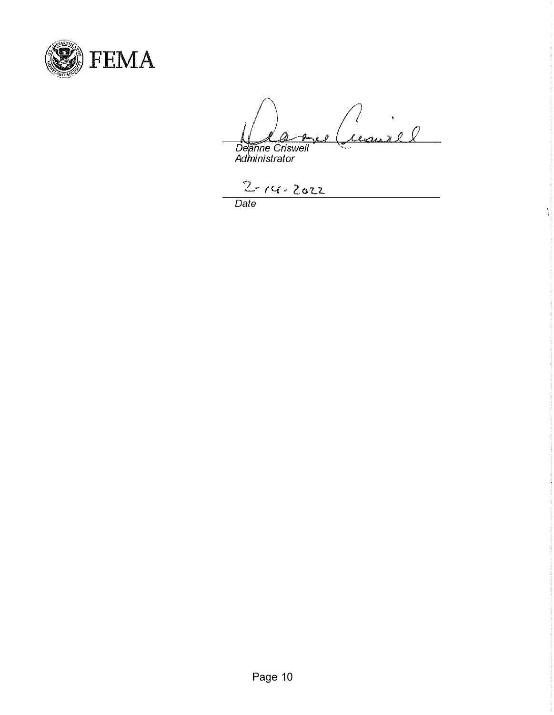

7.

 $\frac{1}{1}$ 

*Administrator* 

*Date*